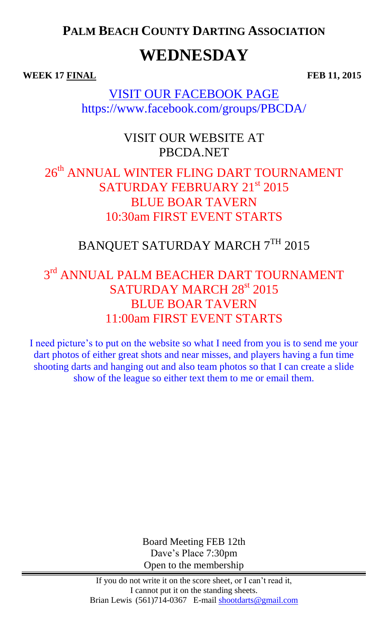**PALM BEACH COUNTY DARTING ASSOCIATION**

# **WEDNESDAY**

**WEEK 17 FINAL FEB 11, 2015** 

VISIT OUR FACEBOOK PAGE https://www.facebook.com/groups/PBCDA/

#### VISIT OUR WEBSITE AT PBCDA.NET

### 26<sup>th</sup> ANNUAL WINTER FLING DART TOURNAMENT SATURDAY FEBRUARY 21st 2015 BLUE BOAR TAVERN 10:30am FIRST EVENT STARTS

## BANQUET SATURDAY MARCH 7TH 2015

## $3<sup>rd</sup>$  ANNUAL PALM BEACHER DART TOURNAMENT SATURDAY MARCH 28<sup>st</sup> 2015 BLUE BOAR TAVERN 11:00am FIRST EVENT STARTS

I need picture's to put on the website so what I need from you is to send me your dart photos of either great shots and near misses, and players having a fun time shooting darts and hanging out and also team photos so that I can create a slide show of the league so either text them to me or email them.

> Board Meeting FEB 12th Dave's Place 7:30pm Open to the membership

If you do not write it on the score sheet, or I can't read it, I cannot put it on the standing sheets. Brian Lewis (561)714-0367 E-mail shootdarts@gmail.com